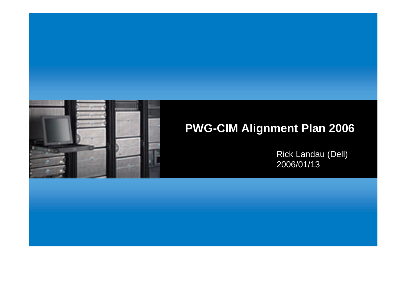

# **PWG-CIM Alignment Plan 2006**

Rick Landau (Dell) 2006/01/13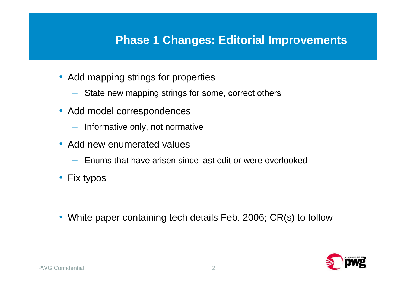#### **Phase 1 Changes: Editorial Improvements**

- Add mapping strings for properties
	- State new mapping strings for some, correct others
- Add model correspondences
	- Informative only, not normative
- Add new enumerated values
	- Enums that have arisen since last edit or were overlooked
- Fix typos
- White paper containing tech details Feb. 2006; CR(s) to follow

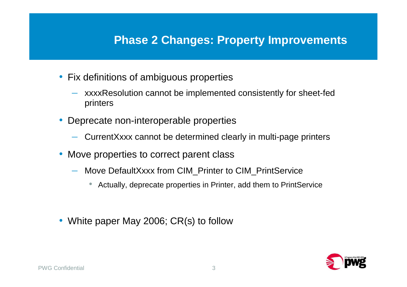#### **Phase 2 Changes: Property Improvements**

- Fix definitions of ambiguous properties
	- xxxxResolution cannot be implemented consistently for sheet-fed printers
- Deprecate non-interoperable properties
	- CurrentXxxx cannot be determined clearly in multi-page printers
- Move properties to correct parent class
	- Move DefaultXxxx from CIM\_Printer to CIM\_PrintService
		- Actually, deprecate properties in Printer, add them to PrintService
- White paper May 2006; CR(s) to follow

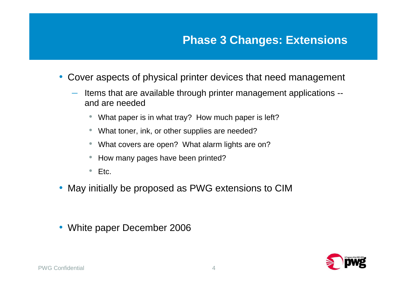## **Phase 3 Changes: Extensions**

- Cover aspects of physical printer devices that need management
	- Items that are available through printer management applications and are needed
		- What paper is in what tray? How much paper is left?
		- What toner, ink, or other supplies are needed?
		- What covers are open? What alarm lights are on?
		- How many pages have been printed?
		- Etc.
- May initially be proposed as PWG extensions to CIM
- White paper December 2006